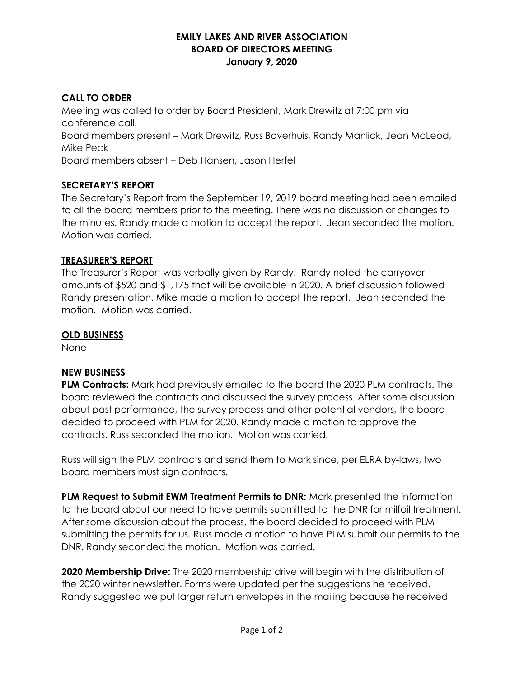## EMILY LAKES AND RIVER ASSOCIATION BOARD OF DIRECTORS MEETING January 9, 2020

## CALL TO ORDER

Meeting was called to order by Board President, Mark Drewitz at 7:00 pm via conference call. Board members present – Mark Drewitz, Russ Boverhuis, Randy Manlick, Jean McLeod, Mike Peck Board members absent – Deb Hansen, Jason Herfel

## SECRETARY'S REPORT

The Secretary's Report from the September 19, 2019 board meeting had been emailed to all the board members prior to the meeting. There was no discussion or changes to the minutes. Randy made a motion to accept the report. Jean seconded the motion. Motion was carried.

#### TREASURER'S REPORT

The Treasurer's Report was verbally given by Randy. Randy noted the carryover amounts of \$520 and \$1,175 that will be available in 2020. A brief discussion followed Randy presentation. Mike made a motion to accept the report. Jean seconded the motion. Motion was carried.

### OLD BUSINESS

None

## NEW BUSINESS

**PLM Contracts:** Mark had previously emailed to the board the 2020 PLM contracts. The board reviewed the contracts and discussed the survey process. After some discussion about past performance, the survey process and other potential vendors, the board decided to proceed with PLM for 2020. Randy made a motion to approve the contracts. Russ seconded the motion. Motion was carried.

Russ will sign the PLM contracts and send them to Mark since, per ELRA by-laws, two board members must sign contracts.

**PLM Request to Submit EWM Treatment Permits to DNR:** Mark presented the information to the board about our need to have permits submitted to the DNR for milfoil treatment. After some discussion about the process, the board decided to proceed with PLM submitting the permits for us. Russ made a motion to have PLM submit our permits to the DNR. Randy seconded the motion. Motion was carried.

**2020 Membership Drive:** The 2020 membership drive will begin with the distribution of the 2020 winter newsletter. Forms were updated per the suggestions he received. Randy suggested we put larger return envelopes in the mailing because he received